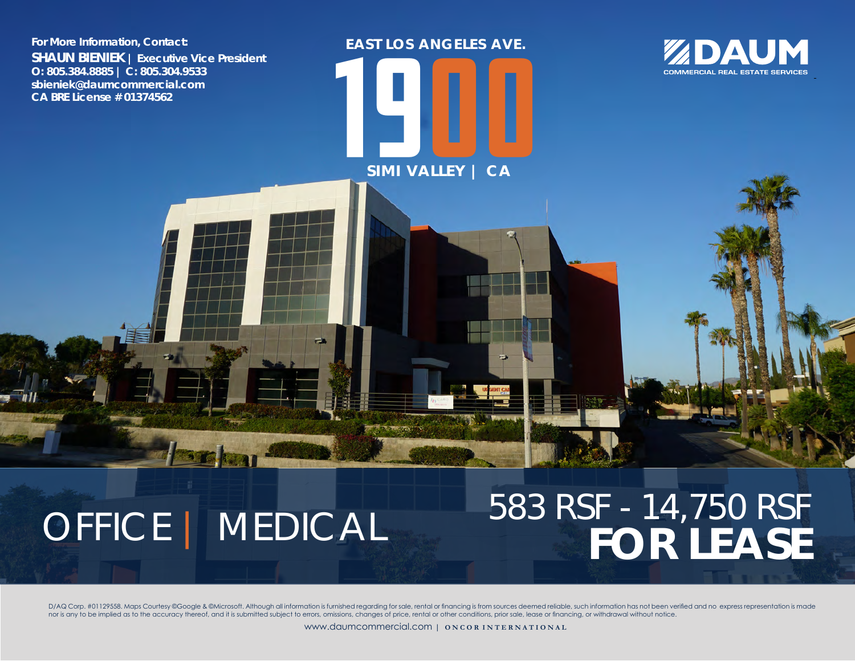**For More Information, Contact: SHAUN BIENIEK | Executive Vice President O: 805.384.8885 | C: 805.304.9533 sbieniek@daumcommercial.com CA BRE License # 01374562**

**OFFICE | MEDICAL** 

583 RSF - 14,750 RSF

ZDAUM **COMMERCIAL REAL ESTATE SERVICES** 

D/AQ Corp. #01129558. Maps Courtesy @Google & @Microsoft. Although all information is furnished regarding for sale, rental or financing is from sources deemed reliable, such information has not been verified and no express nor is any to be implied as to the accuracy thereof, and it is submitted subject to errors, omissions, changes of price, rental or other conditions, prior sale, lease or financing, or withdrawal without notice.

**1900** 

**SIMI VALLEY | CA**

**EAST LOS ANGELES AVE.**

www.daumcommercial.com | **O N C O R I N T E R N A T I O N A L**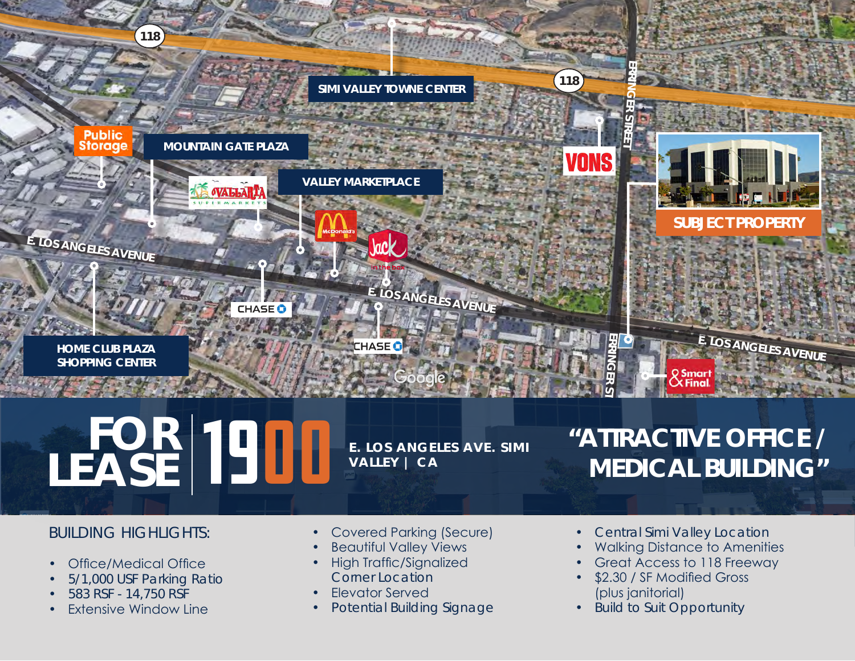

# $\mathbf{FSE}$  **1900 E. LOS ANGELES AVE. SIMI LEASE**

**VALLEY | CA**

# **"ATTRACTIVE OFFICE / MEDICAL BUILDING"**

#### BUILDING HIGHLIGHTS:

- Office/Medical Office
- 5/1,000 USF Parking Ratio
- 583 RSF 14,750 RSF
- **Extensive Window Line**
- Covered Parking (Secure)
- **Beautiful Valley Views**
- High Traffic/Signalized Corner Location
- Elevator Served
- Potential Building Signage
- Central Simi Valley Location
- Walking Distance to Amenities
- Great Access to 118 Freeway
- \$2.30 / SF Modified Gross (plus janitorial)
- Build to Suit Opportunity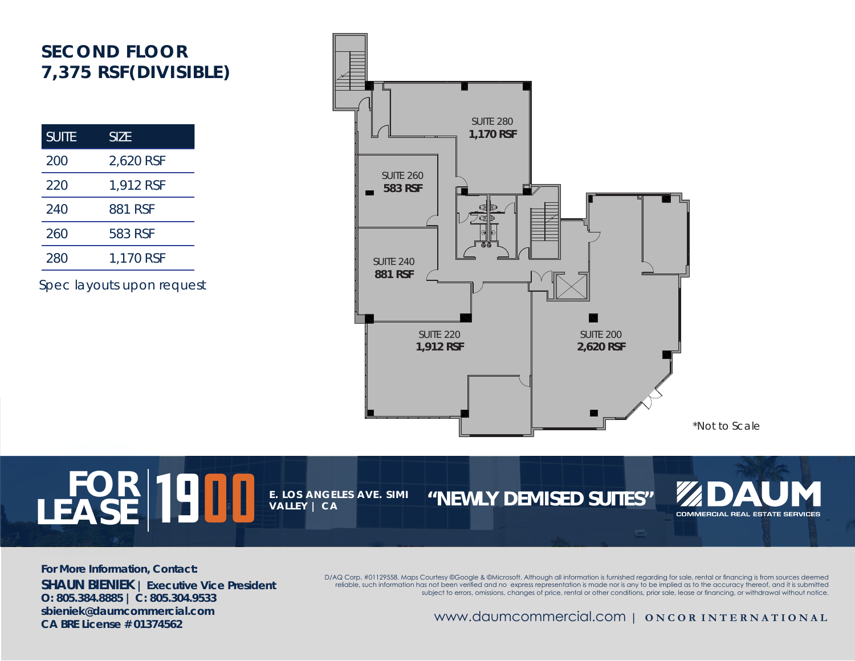### **SECOND FLOOR 7,375 RSF(DIVISIBLE)**

| <b>SUITE</b> | <b>SIZE</b> |
|--------------|-------------|
| 200          | 2,620 RSF   |
| 220          | 1,912 RSF   |
| 240          | 881 RSF     |
| 260          | 583 RSF     |
| 280          | 1,170 RSF   |

Spec layouts upon request



**For More Information, Contact: SHAUN BIENIEK | Executive Vice President O: 805.384.8885 | C: 805.304.9533 sbieniek@daumcommercial.com CA BRE License # 01374562**

 $\textbf{FOR}$  **1900 E. LOS ANGELES AVE. SIMI** 

**VALLEY | CA**

LEASE<sup> |</sup> DU Le los Angeles ave. SIMI "NEWLY DEMISED SUITES"

D/AQ Corp. #01129558. Maps Courtesy ©Google & ©Microsoft. Although all information is furnished regarding for sale, rental or financing is from sources deemed reliable, such information has not been verified and no express representation is made nor is any to be implied as to the accuracy thereof, and it is submitted subject to errors, omissions, changes of price, rental or other conditions, prior sale, lease or financing, or withdrawal without notice.

www.daumcommercial.com | **O N C O R I N T E R N A T I O N A L** 

COMMERCIAL REAL ESTATE SERVICES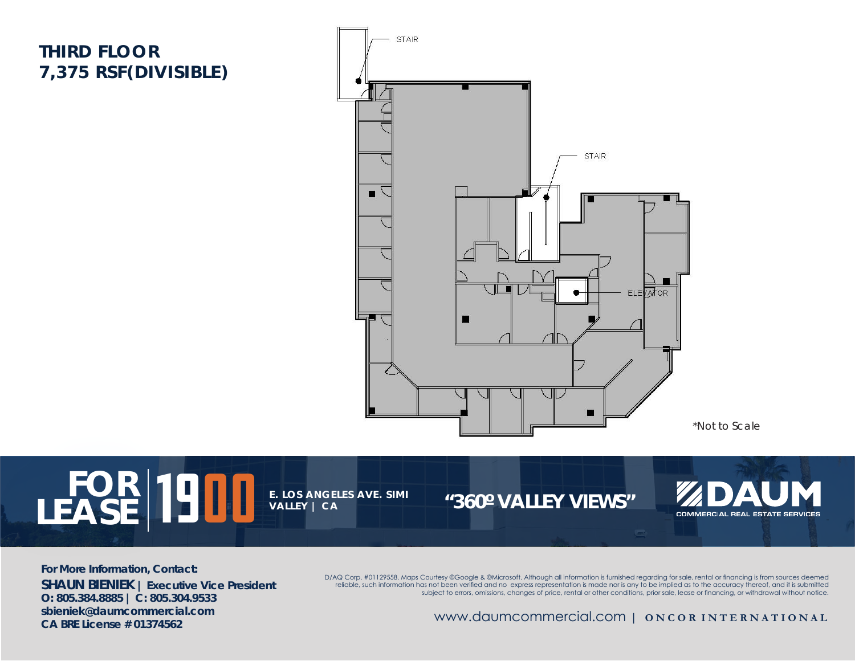#### **THIRD FLOOR 7,375 RSF(DIVISIBLE)**



\*Not to Scale

 $\textbf{FOR}$  **1900 E. LOS ANGELES AVE. SIMI** LEASE **IS LEASE IN LIGHT OF THE VALLEY AVE.** SIMILAR 1960° VALLEY VIEWS" **VALLEY | CA** COMMERCIAL REAL ESTATE SERVICES

**For More Information, Contact: SHAUN BIENIEK | Executive Vice President O: 805.384.8885 | C: 805.304.9533 sbieniek@daumcommercial.com CA BRE License # 01374562**

D/AQ Corp. #01129558. Maps Courtesy ©Google & ©Microsoft. Although all information is furnished regarding for sale, rental or financing is from sources deemed reliable, such information has not been verified and no express representation is made nor is any to be implied as to the accuracy thereof, and it is submitted subject to errors, omissions, changes of price, rental or other conditions, prior sale, lease or financing, or withdrawal without notice.

www.daumcommercial.com | **O N C O R I N T E R N A T I O N A L**